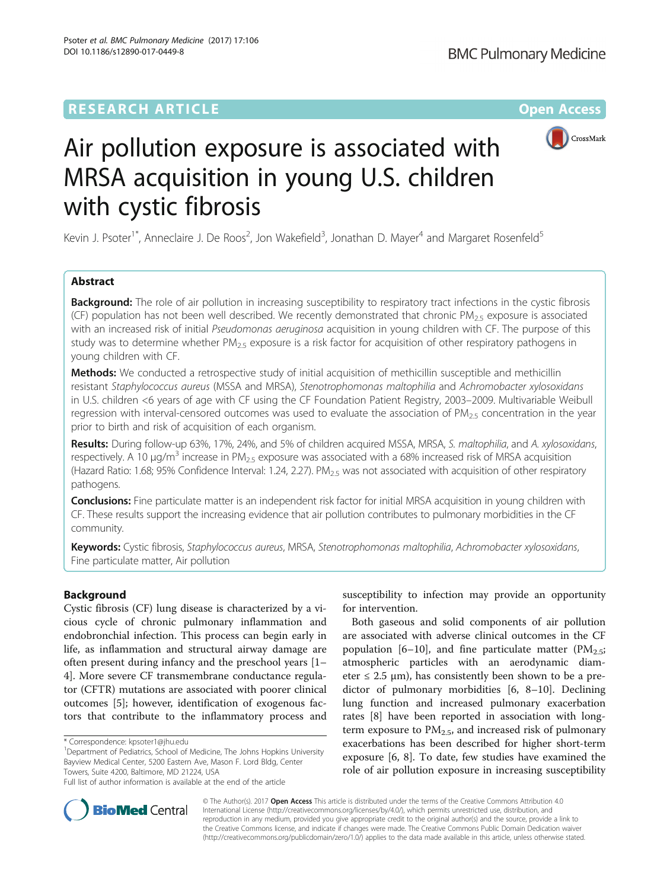# **RESEARCH ARTICLE External Structure Community Community Community Community Community Community Community Community**



# Air pollution exposure is associated with MRSA acquisition in young U.S. children with cystic fibrosis

Kevin J. Psoter<sup>1\*</sup>, Anneclaire J. De Roos<sup>2</sup>, Jon Wakefield<sup>3</sup>, Jonathan D. Mayer<sup>4</sup> and Margaret Rosenfeld<sup>5</sup>

# Abstract

**Background:** The role of air pollution in increasing susceptibility to respiratory tract infections in the cystic fibrosis (CF) population has not been well described. We recently demonstrated that chronic PM<sub>2.5</sub> exposure is associated with an increased risk of initial Pseudomonas aeruginosa acquisition in young children with CF. The purpose of this study was to determine whether  $PM_{2.5}$  exposure is a risk factor for acquisition of other respiratory pathogens in young children with CF.

Methods: We conducted a retrospective study of initial acquisition of methicillin susceptible and methicillin resistant Staphylococcus aureus (MSSA and MRSA), Stenotrophomonas maltophilia and Achromobacter xylosoxidans in U.S. children <6 years of age with CF using the CF Foundation Patient Registry, 2003–2009. Multivariable Weibull regression with interval-censored outcomes was used to evaluate the association of  $PM<sub>2.5</sub>$  concentration in the year prior to birth and risk of acquisition of each organism.

Results: During follow-up 63%, 17%, 24%, and 5% of children acquired MSSA, MRSA, S. maltophilia, and A. xylosoxidans, respectively. A 10  $\mu q/m^3$  increase in PM<sub>2.5</sub> exposure was associated with a 68% increased risk of MRSA acquisition (Hazard Ratio: 1.68; 95% Confidence Interval: 1.24, 2.27). PM<sub>2.5</sub> was not associated with acquisition of other respiratory pathogens.

Conclusions: Fine particulate matter is an independent risk factor for initial MRSA acquisition in young children with CF. These results support the increasing evidence that air pollution contributes to pulmonary morbidities in the CF community.

Keywords: Cystic fibrosis, Staphylococcus aureus, MRSA, Stenotrophomonas maltophilia, Achromobacter xylosoxidans, Fine particulate matter, Air pollution

# Background

Cystic fibrosis (CF) lung disease is characterized by a vicious cycle of chronic pulmonary inflammation and endobronchial infection. This process can begin early in life, as inflammation and structural airway damage are often present during infancy and the preschool years [[1](#page-7-0)– [4\]](#page-7-0). More severe CF transmembrane conductance regulator (CFTR) mutations are associated with poorer clinical outcomes [[5](#page-7-0)]; however, identification of exogenous factors that contribute to the inflammatory process and

<sup>1</sup>Department of Pediatrics, School of Medicine, The Johns Hopkins University Bayview Medical Center, 5200 Eastern Ave, Mason F. Lord Bldg, Center Towers, Suite 4200, Baltimore, MD 21224, USA

susceptibility to infection may provide an opportunity for intervention.

Both gaseous and solid components of air pollution are associated with adverse clinical outcomes in the CF population [\[6](#page-7-0)–[10\]](#page-7-0), and fine particulate matter ( $PM_{2.5}$ ; atmospheric particles with an aerodynamic diameter  $\leq$  2.5  $\mu$ m), has consistently been shown to be a predictor of pulmonary morbidities [\[6](#page-7-0), [8](#page-7-0)–[10](#page-7-0)]. Declining lung function and increased pulmonary exacerbation rates [\[8\]](#page-7-0) have been reported in association with longterm exposure to  $PM<sub>2.5</sub>$ , and increased risk of pulmonary exacerbations has been described for higher short-term exposure [\[6](#page-7-0), [8\]](#page-7-0). To date, few studies have examined the role of air pollution exposure in increasing susceptibility



© The Author(s). 2017 **Open Access** This article is distributed under the terms of the Creative Commons Attribution 4.0 International License [\(http://creativecommons.org/licenses/by/4.0/](http://creativecommons.org/licenses/by/4.0/)), which permits unrestricted use, distribution, and reproduction in any medium, provided you give appropriate credit to the original author(s) and the source, provide a link to the Creative Commons license, and indicate if changes were made. The Creative Commons Public Domain Dedication waiver [\(http://creativecommons.org/publicdomain/zero/1.0/](http://creativecommons.org/publicdomain/zero/1.0/)) applies to the data made available in this article, unless otherwise stated.

<sup>\*</sup> Correspondence: [kpsoter1@jhu.edu](mailto:kpsoter1@jhu.edu) <sup>1</sup>

Full list of author information is available at the end of the article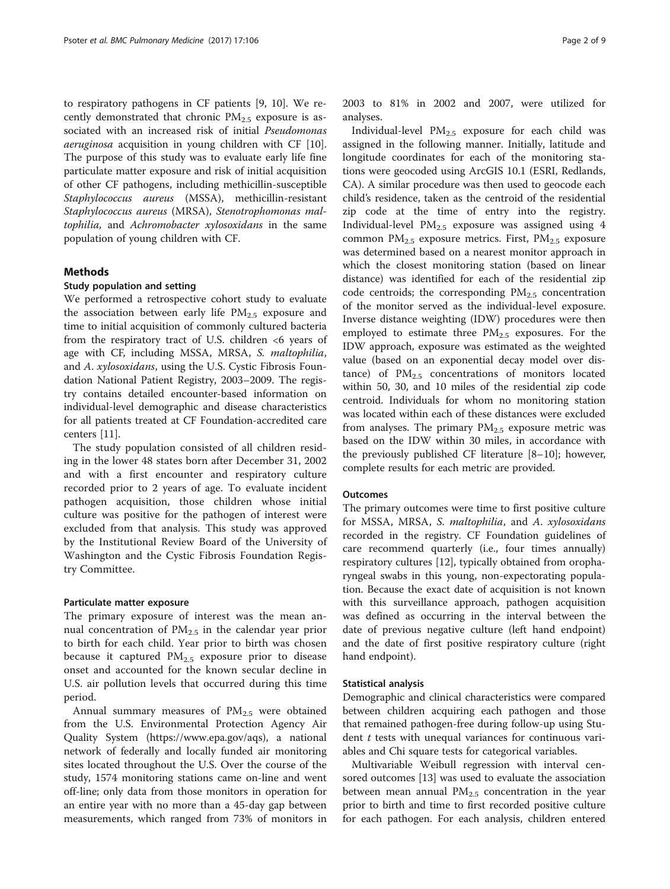to respiratory pathogens in CF patients [\[9](#page-7-0), [10](#page-7-0)]. We recently demonstrated that chronic  $PM_{2.5}$  exposure is associated with an increased risk of initial Pseudomonas aeruginosa acquisition in young children with CF [\[10](#page-7-0)]. The purpose of this study was to evaluate early life fine particulate matter exposure and risk of initial acquisition of other CF pathogens, including methicillin-susceptible Staphylococcus aureus (MSSA), methicillin-resistant Staphylococcus aureus (MRSA), Stenotrophomonas maltophilia, and Achromobacter xylosoxidans in the same population of young children with CF.

# Methods

#### Study population and setting

We performed a retrospective cohort study to evaluate the association between early life  $PM_{2.5}$  exposure and time to initial acquisition of commonly cultured bacteria from the respiratory tract of U.S. children  $\leq 6$  years of age with CF, including MSSA, MRSA, S. maltophilia, and A. xylosoxidans, using the U.S. Cystic Fibrosis Foundation National Patient Registry, 2003–2009. The registry contains detailed encounter-based information on individual-level demographic and disease characteristics for all patients treated at CF Foundation-accredited care centers [\[11\]](#page-7-0).

The study population consisted of all children residing in the lower 48 states born after December 31, 2002 and with a first encounter and respiratory culture recorded prior to 2 years of age. To evaluate incident pathogen acquisition, those children whose initial culture was positive for the pathogen of interest were excluded from that analysis. This study was approved by the Institutional Review Board of the University of Washington and the Cystic Fibrosis Foundation Registry Committee.

#### Particulate matter exposure

The primary exposure of interest was the mean annual concentration of  $PM_{2.5}$  in the calendar year prior to birth for each child. Year prior to birth was chosen because it captured  $PM_{2.5}$  exposure prior to disease onset and accounted for the known secular decline in U.S. air pollution levels that occurred during this time period.

Annual summary measures of  $PM<sub>2.5</sub>$  were obtained from the U.S. Environmental Protection Agency Air Quality System [\(https://www.epa.gov/aqs](https://www.epa.gov/aqs)), a national network of federally and locally funded air monitoring sites located throughout the U.S. Over the course of the study, 1574 monitoring stations came on-line and went off-line; only data from those monitors in operation for an entire year with no more than a 45-day gap between measurements, which ranged from 73% of monitors in 2003 to 81% in 2002 and 2007, were utilized for analyses.

Individual-level  $PM_{2.5}$  exposure for each child was assigned in the following manner. Initially, latitude and longitude coordinates for each of the monitoring stations were geocoded using ArcGIS 10.1 (ESRI, Redlands, CA). A similar procedure was then used to geocode each child's residence, taken as the centroid of the residential zip code at the time of entry into the registry. Individual-level  $PM_{2.5}$  exposure was assigned using 4 common  $PM_{2.5}$  exposure metrics. First,  $PM_{2.5}$  exposure was determined based on a nearest monitor approach in which the closest monitoring station (based on linear distance) was identified for each of the residential zip code centroids; the corresponding  $PM_{2.5}$  concentration of the monitor served as the individual-level exposure. Inverse distance weighting (IDW) procedures were then employed to estimate three  $PM_{2.5}$  exposures. For the IDW approach, exposure was estimated as the weighted value (based on an exponential decay model over distance) of  $PM_{2.5}$  concentrations of monitors located within 50, 30, and 10 miles of the residential zip code centroid. Individuals for whom no monitoring station was located within each of these distances were excluded from analyses. The primary  $PM_{2.5}$  exposure metric was based on the IDW within 30 miles, in accordance with the previously published CF literature [\[8](#page-7-0)–[10](#page-7-0)]; however, complete results for each metric are provided.

#### **Outcomes**

The primary outcomes were time to first positive culture for MSSA, MRSA, S. maltophilia, and A. xylosoxidans recorded in the registry. CF Foundation guidelines of care recommend quarterly (i.e., four times annually) respiratory cultures [\[12](#page-7-0)], typically obtained from oropharyngeal swabs in this young, non-expectorating population. Because the exact date of acquisition is not known with this surveillance approach, pathogen acquisition was defined as occurring in the interval between the date of previous negative culture (left hand endpoint) and the date of first positive respiratory culture (right hand endpoint).

#### Statistical analysis

Demographic and clinical characteristics were compared between children acquiring each pathogen and those that remained pathogen-free during follow-up using Student  $t$  tests with unequal variances for continuous variables and Chi square tests for categorical variables.

Multivariable Weibull regression with interval censored outcomes [\[13](#page-7-0)] was used to evaluate the association between mean annual  $PM_{2.5}$  concentration in the year prior to birth and time to first recorded positive culture for each pathogen. For each analysis, children entered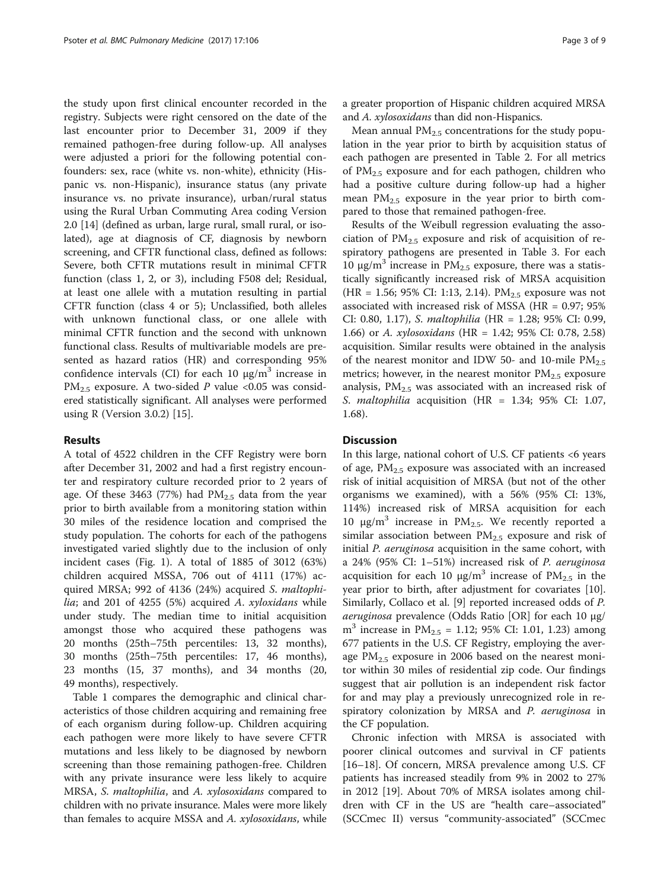the study upon first clinical encounter recorded in the registry. Subjects were right censored on the date of the last encounter prior to December 31, 2009 if they remained pathogen-free during follow-up. All analyses were adjusted a priori for the following potential confounders: sex, race (white vs. non-white), ethnicity (Hispanic vs. non-Hispanic), insurance status (any private insurance vs. no private insurance), urban/rural status using the Rural Urban Commuting Area coding Version 2.0 [[14\]](#page-7-0) (defined as urban, large rural, small rural, or isolated), age at diagnosis of CF, diagnosis by newborn screening, and CFTR functional class, defined as follows: Severe, both CFTR mutations result in minimal CFTR function (class 1, 2, or 3), including F508 del; Residual, at least one allele with a mutation resulting in partial CFTR function (class 4 or 5); Unclassified, both alleles with unknown functional class, or one allele with minimal CFTR function and the second with unknown functional class. Results of multivariable models are presented as hazard ratios (HR) and corresponding 95% confidence intervals (CI) for each 10  $\mu$ g/m<sup>3</sup> increase in  $PM_{2.5}$  exposure. A two-sided P value <0.05 was considered statistically significant. All analyses were performed using R (Version 3.0.2) [[15\]](#page-7-0).

# Results

A total of 4522 children in the CFF Registry were born after December 31, 2002 and had a first registry encounter and respiratory culture recorded prior to 2 years of age. Of these 3463 (77%) had  $PM_{2.5}$  data from the year prior to birth available from a monitoring station within 30 miles of the residence location and comprised the study population. The cohorts for each of the pathogens investigated varied slightly due to the inclusion of only incident cases (Fig. [1\)](#page-3-0). A total of 1885 of 3012 (63%) children acquired MSSA, 706 out of 4111 (17%) acquired MRSA; 992 of 4136 (24%) acquired S. maltophilia; and 201 of 4255 (5%) acquired A.  $xy$ loxidans while under study. The median time to initial acquisition amongst those who acquired these pathogens was 20 months (25th–75th percentiles: 13, 32 months), 30 months (25th–75th percentiles: 17, 46 months), 23 months (15, 37 months), and 34 months (20, 49 months), respectively.

Table [1](#page-4-0) compares the demographic and clinical characteristics of those children acquiring and remaining free of each organism during follow-up. Children acquiring each pathogen were more likely to have severe CFTR mutations and less likely to be diagnosed by newborn screening than those remaining pathogen-free. Children with any private insurance were less likely to acquire MRSA, S. maltophilia, and A. xylosoxidans compared to children with no private insurance. Males were more likely than females to acquire MSSA and A. xylosoxidans, while a greater proportion of Hispanic children acquired MRSA and A. xylosoxidans than did non-Hispanics.

Mean annual  $PM_{2.5}$  concentrations for the study population in the year prior to birth by acquisition status of each pathogen are presented in Table [2](#page-5-0). For all metrics of  $PM_{2.5}$  exposure and for each pathogen, children who had a positive culture during follow-up had a higher mean  $PM_{2,5}$  exposure in the year prior to birth compared to those that remained pathogen-free.

Results of the Weibull regression evaluating the association of  $PM_{2.5}$  exposure and risk of acquisition of respiratory pathogens are presented in Table [3](#page-6-0). For each 10 μg/m<sup>3</sup> increase in PM<sub>2.5</sub> exposure, there was a statistically significantly increased risk of MRSA acquisition (HR = 1.56; 95% CI: 1:13, 2.14). PM<sub>2.5</sub> exposure was not associated with increased risk of MSSA (HR = 0.97; 95% CI: 0.80, 1.17), S. maltophilia (HR = 1.28; 95% CI: 0.99, 1.66) or A. xylosoxidans (HR = 1.42; 95% CI: 0.78, 2.58) acquisition. Similar results were obtained in the analysis of the nearest monitor and IDW 50- and 10-mile  $PM_{2.5}$ metrics; however, in the nearest monitor  $PM<sub>2.5</sub>$  exposure analysis,  $PM_{2.5}$  was associated with an increased risk of S. maltophilia acquisition (HR =  $1.34$ ; 95% CI: 1.07, 1.68).

# **Discussion**

In this large, national cohort of U.S. CF patients <6 years of age,  $PM_{2.5}$  exposure was associated with an increased risk of initial acquisition of MRSA (but not of the other organisms we examined), with a 56% (95% CI: 13%, 114%) increased risk of MRSA acquisition for each 10 μg/m<sup>3</sup> increase in PM<sub>2.5</sub>. We recently reported a similar association between  $PM_{2.5}$  exposure and risk of initial P. aeruginosa acquisition in the same cohort, with a 24% (95% CI: 1–51%) increased risk of P. aeruginosa acquisition for each 10 μg/m<sup>3</sup> increase of  $PM_{2.5}$  in the year prior to birth, after adjustment for covariates [\[10](#page-7-0)]. Similarly, Collaco et al. [\[9](#page-7-0)] reported increased odds of P. aeruginosa prevalence (Odds Ratio [OR] for each 10 μg/  $m<sup>3</sup>$  increase in PM<sub>2.5</sub> = 1.12; 95% CI: 1.01, 1.23) among 677 patients in the U.S. CF Registry, employing the average  $PM_{2.5}$  exposure in 2006 based on the nearest monitor within 30 miles of residential zip code. Our findings suggest that air pollution is an independent risk factor for and may play a previously unrecognized role in respiratory colonization by MRSA and P. aeruginosa in the CF population.

Chronic infection with MRSA is associated with poorer clinical outcomes and survival in CF patients [[16](#page-7-0)–[18](#page-7-0)]. Of concern, MRSA prevalence among U.S. CF patients has increased steadily from 9% in 2002 to 27% in 2012 [\[19\]](#page-8-0). About 70% of MRSA isolates among children with CF in the US are "health care–associated" (SCCmec II) versus "community-associated" (SCCmec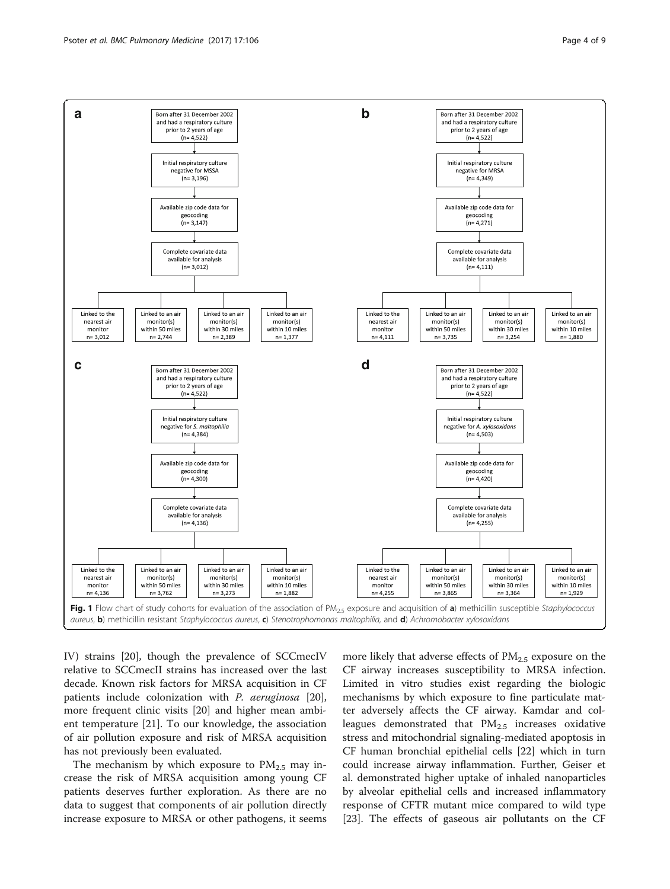<span id="page-3-0"></span>

IV) strains [[20](#page-8-0)], though the prevalence of SCCmecIV relative to SCCmecII strains has increased over the last decade. Known risk factors for MRSA acquisition in CF patients include colonization with P. aeruginosa [\[20](#page-8-0)], more frequent clinic visits [\[20](#page-8-0)] and higher mean ambient temperature [[21](#page-8-0)]. To our knowledge, the association of air pollution exposure and risk of MRSA acquisition has not previously been evaluated.

The mechanism by which exposure to  $PM<sub>2.5</sub>$  may increase the risk of MRSA acquisition among young CF patients deserves further exploration. As there are no data to suggest that components of air pollution directly increase exposure to MRSA or other pathogens, it seems more likely that adverse effects of  $PM<sub>2.5</sub>$  exposure on the CF airway increases susceptibility to MRSA infection. Limited in vitro studies exist regarding the biologic mechanisms by which exposure to fine particulate matter adversely affects the CF airway. Kamdar and colleagues demonstrated that  $PM_{2.5}$  increases oxidative stress and mitochondrial signaling-mediated apoptosis in CF human bronchial epithelial cells [[22\]](#page-8-0) which in turn could increase airway inflammation. Further, Geiser et al. demonstrated higher uptake of inhaled nanoparticles by alveolar epithelial cells and increased inflammatory response of CFTR mutant mice compared to wild type [[23\]](#page-8-0). The effects of gaseous air pollutants on the CF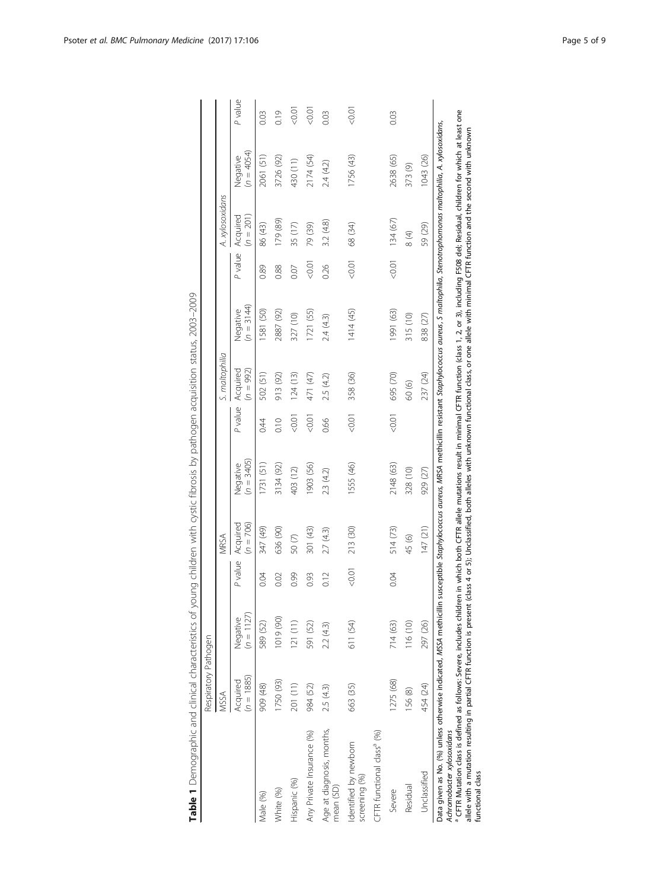|                                                                                                                                                                                     | Respiratory Pathogen     |                          |         |                         |                          |         |                         |                                                                                                                                                                                                                                                                                                                |         |                         |                          |                   |
|-------------------------------------------------------------------------------------------------------------------------------------------------------------------------------------|--------------------------|--------------------------|---------|-------------------------|--------------------------|---------|-------------------------|----------------------------------------------------------------------------------------------------------------------------------------------------------------------------------------------------------------------------------------------------------------------------------------------------------------|---------|-------------------------|--------------------------|-------------------|
|                                                                                                                                                                                     | MSSA                     |                          |         | MRSA                    |                          |         | S. maltophilia          |                                                                                                                                                                                                                                                                                                                |         | A. xylosoxidans         |                          |                   |
|                                                                                                                                                                                     | $(n = 1885)$<br>Acquired | $(p = 1127)$<br>Negative | P value | $(n = 706)$<br>Acquired | $(n = 3405)$<br>Negative | P value | Acquired<br>$(n = 992)$ | $(n = 3144)$<br>Negative                                                                                                                                                                                                                                                                                       | P value | Acquired<br>$(n = 201)$ | $(n = 4054)$<br>Negative | P value           |
| Male (%)                                                                                                                                                                            | 909 (48)                 | 589 (52)                 | 0.04    | 347 (49)                | 1731 (51)                | 0:4     | 502 (51)                | 1581 (50)                                                                                                                                                                                                                                                                                                      | 0.89    | 86 (43)                 | 2061 (51)                | 0.03              |
| White (%)                                                                                                                                                                           | 1750 (93)                | 1019 (90)                | 0.02    | 636 (90)                | 3134 (92)                | 0.10    | 913 (92)                | 2887 (92)                                                                                                                                                                                                                                                                                                      | 0.88    | 179 (89)                | 3726 (92)                | 0.19              |
| Hispanic (%)                                                                                                                                                                        | 201 (11)                 | 121(11)                  | 0.99    | 50 <sub>(7)</sub>       | 403 (12)                 | 0.01    | 124(13)                 | 327 (10)                                                                                                                                                                                                                                                                                                       | 0.07    | 35 (17)                 | 430 (11)                 | $-0.01$           |
| Any Private Insurance (%)                                                                                                                                                           | 984 (52)                 | 591 (52)                 | 0.93    | 301 (43)                | 1903 (56)                | 0.01    | 471 (47)                | 1721 (55)                                                                                                                                                                                                                                                                                                      | 0.01    | 79 (39)                 | 2174 (54)                | 0.07 <sub>0</sub> |
| Age at diagnosis, months,<br>mean (SD)                                                                                                                                              | 2.5 (4.3)                | 2.2(4.3)                 | 0.12    | 2.7(4.3)                | 23 (42)                  | 0.66    | 2.5 (4.2)               | 2.4(4.3)                                                                                                                                                                                                                                                                                                       | 0.26    | 3.2 (4.8)               | 2.4(4.2)                 | 0.03              |
| Identified by newborn<br>screening (%)                                                                                                                                              | 663 (35)                 | 611 (54)                 | 1000    | 213 (30)                | 1555 (46)                | 0.01    | 358 (36)                | 1414 (45)                                                                                                                                                                                                                                                                                                      | $-0.01$ | 68 (34)                 | 1756 (43)                | $500 - 70$        |
| CFTR functional class <sup>ª</sup> (%)                                                                                                                                              |                          |                          |         |                         |                          |         |                         |                                                                                                                                                                                                                                                                                                                |         |                         |                          |                   |
| Severe                                                                                                                                                                              | 1275 (68)                | 714 (63)                 | 0.04    | 514(73)                 | 2148 (63)                | 0.01    | 695 (70)                | 1991 (63)                                                                                                                                                                                                                                                                                                      | 0.01    | 134 (67)                | 2638 (65)                | 0.03              |
| Residual                                                                                                                                                                            | 156 (8)                  | 116(10)                  |         | 45 (6)                  | 328 (10)                 |         | 60(6)                   | 315 (10)                                                                                                                                                                                                                                                                                                       |         | $\frac{4}{8}$           | 373 (9)                  |                   |
| Unclassified                                                                                                                                                                        | 454 (24)                 | 297 (26)                 |         | 147 (21)                | 929 (27)                 |         | 237 (24)                | 838 (27)                                                                                                                                                                                                                                                                                                       |         | 59 (29)                 | 1043 (26)                |                   |
| Data given as No. (%) unless otherwise indicated, MSSA methicillin<br><sup>a</sup> CFTR Mutation class is defined as follows: Severe, includes childr<br>Achromobacter xylosoxidans |                          |                          |         |                         |                          |         |                         | en in which both CFTR allele mutations result in minimal CFTR function (class 1, 2, or 3), including F508 del; Residual, children for which at least one<br>susceptible Staphylococcus aureus, MRSA methicillin resistant Staphylococcus aureus, S maltophilia, Stenotrophomonas maltophilia, A. xylosoxidans, |         |                         |                          |                   |
| allele with a mutation resulting in partial CFTR function is present<br>functional class                                                                                            |                          |                          |         |                         |                          |         |                         | (class 4 or 5); Unclassified, both alleles with unknown functional class, or one allele with minimal CFTR function and the second with unknown                                                                                                                                                                 |         |                         |                          |                   |

<span id="page-4-0"></span>

Table 1 Demographic and clinical characteristics of young children with cystic fibrosis by pathogen acquisition status, 2003–2009

Table 1 Demographic and clinical characteristics of young children with cystic fibrosis by pathogen acquisition status, 2003-2009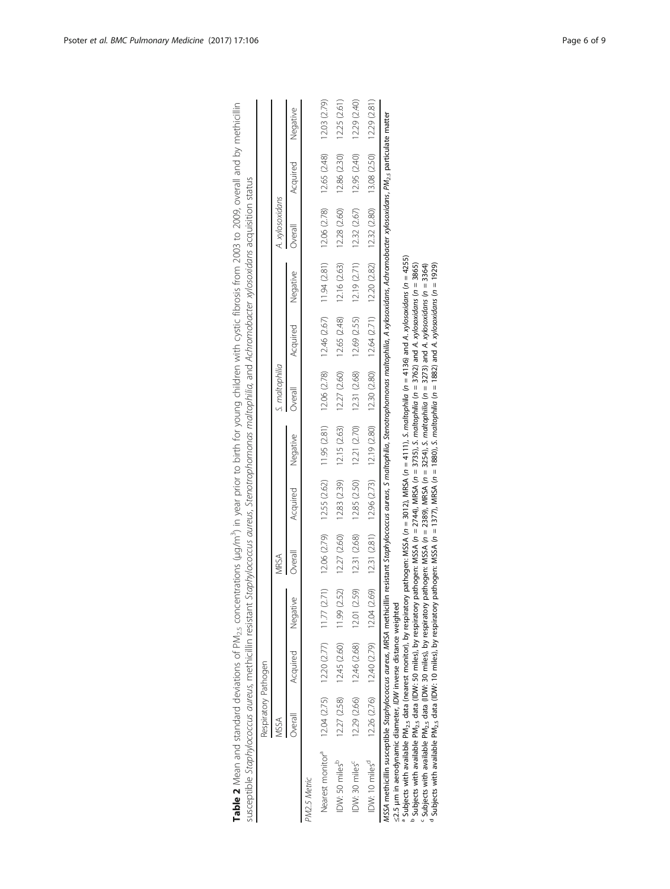|                                                                                                                                                                                                                                                                                                                                                                                                                                                                                                                                                                                                | Respiratory Pathogen |                                                    |                                                                                                                                                |              |              |                                           |                |                                                                                            |          |                                                                                                                                                                |              |              |
|------------------------------------------------------------------------------------------------------------------------------------------------------------------------------------------------------------------------------------------------------------------------------------------------------------------------------------------------------------------------------------------------------------------------------------------------------------------------------------------------------------------------------------------------------------------------------------------------|----------------------|----------------------------------------------------|------------------------------------------------------------------------------------------------------------------------------------------------|--------------|--------------|-------------------------------------------|----------------|--------------------------------------------------------------------------------------------|----------|----------------------------------------------------------------------------------------------------------------------------------------------------------------|--------------|--------------|
|                                                                                                                                                                                                                                                                                                                                                                                                                                                                                                                                                                                                | MSSA                 |                                                    |                                                                                                                                                | MRSA         |              |                                           | S. maltophilia |                                                                                            |          | A. xylosoxidans                                                                                                                                                |              |              |
|                                                                                                                                                                                                                                                                                                                                                                                                                                                                                                                                                                                                | Overall              | Acquired                                           | Negative                                                                                                                                       | Overall      | Acquired     | Negative                                  | <b>Dverall</b> | Acquired                                                                                   | Negative | Overall                                                                                                                                                        | Acquired     | Negative     |
| PM2.5 Metric                                                                                                                                                                                                                                                                                                                                                                                                                                                                                                                                                                                   |                      |                                                    |                                                                                                                                                |              |              |                                           |                |                                                                                            |          |                                                                                                                                                                |              |              |
| Nearest monitor <sup>a</sup>                                                                                                                                                                                                                                                                                                                                                                                                                                                                                                                                                                   |                      | $12.04$ $(2.75)$ $12.20$ $(2.77)$ $11.77$ $(2.71)$ |                                                                                                                                                |              |              |                                           |                | 12.06 (2.79) 12.55 (2.62) 11.95 (2.81) 12.06 (2.78) 12.46 (2.67) 11.94 (2.81) 12.06 (2.78) |          |                                                                                                                                                                | 12.65 (2.48) | 12.03 (2.79) |
| IDW: 50 miles <sup>b</sup>                                                                                                                                                                                                                                                                                                                                                                                                                                                                                                                                                                     | 12.27 (2.58)         | 12.45 (2.60)                                       | 11.99 (2.52)                                                                                                                                   | 12.27 (2.60) | 12.83 (2.39) | 12.15 (2.63)                              |                | $12.27(2.60)$ $12.65(2.48)$ $12.16(2.63)$                                                  |          | 12.28 (2.60)                                                                                                                                                   | 12.86 (2.30) | 12.25 (2.61) |
| IDW: 30 miles <sup>c</sup>                                                                                                                                                                                                                                                                                                                                                                                                                                                                                                                                                                     |                      | 12.29 (2.66) 12.46 (2.68)                          | 12.01 (2.59)                                                                                                                                   | 12.31 (2.68) |              | $12.85(2.50)$ $12.21(2.70)$ $12.31(2.68)$ |                |                                                                                            |          | $12.69$ $(2.55)$ $12.19$ $(2.71)$ $12.32$ $(2.67)$                                                                                                             | 12.95 (2.40) | 12.29 (2.40) |
| IDW: 10 miles <sup>d</sup>                                                                                                                                                                                                                                                                                                                                                                                                                                                                                                                                                                     |                      |                                                    | 12.26 (2.76) 12.40 (2.79) 12.04 (2.69) 12.96 (2.71) 12.96 (2.73) 12.90 (2.80) 12.64 (2.71) 12.20 (2.82) 12.29 (2.80) 13.08 (2.50) 12.29 (2.81) |              |              |                                           |                |                                                                                            |          |                                                                                                                                                                |              |              |
| $^3$ Subjects with available PM <sub>2.5</sub> data (nearest monitor), by respiratory pathogen: MSSA ( $n = 3012$ ), MRSA ( $n = 4111$ ), S. maltophilia ( $n = 4136$ ) and A. xylosoxidans ( $n = 4255$ )<br><sup>n</sup> Subjects with available PM, <sub>s</sub> data (IDW: 50 miles), by respiratory pathogen: MSSA ( <i>n</i> = 2744), MRSA ( <i>n</i> = 3735), <i>S. moltophilio</i> ( <i>n</i> = 3762) and A. xylosoxidans ( <i>n</i> = 3865)<br>MSSA methicillin susceptible Staphylococcus aureus, MRSA methicillin<br>≤2.5 µm in aerodynamic diameter, IDW inverse distance weighted |                      |                                                    |                                                                                                                                                |              |              |                                           |                |                                                                                            |          | resistant Staphylococcus aureus, S maltophilia, Stenotrophomonas maltophilia, A xylosoxidans, Achromobacter xylosoxidans, PM <sub>2.5</sub> particulate matter |              |              |

<span id="page-5-0"></span>

| in an ind but limin in<br>) > > > = > = > > > > -                          | i                                                    |  |
|----------------------------------------------------------------------------|------------------------------------------------------|--|
|                                                                            | j<br>$20 - 24 - 4$                                   |  |
|                                                                            | きここ こうい いい<br>j                                      |  |
|                                                                            |                                                      |  |
|                                                                            |                                                      |  |
|                                                                            | $\frac{1}{2}$                                        |  |
|                                                                            |                                                      |  |
| controversion charge is interestingly interestingly controvers in the form | いろいろ こうしょう アンスクラン アンスト・アン アニン アニンクチアクショック            |  |
|                                                                            |                                                      |  |
|                                                                            | $\frac{1}{2}$                                        |  |
|                                                                            |                                                      |  |
|                                                                            | )<br>)<br>)<br>)<br>)                                |  |
|                                                                            | うろうみん りこうそこう りこりりりりつご<br>うっちょう                       |  |
|                                                                            |                                                      |  |
|                                                                            | $-20.001$                                            |  |
|                                                                            |                                                      |  |
| j<br>r of DN                                                               | į                                                    |  |
| .<br>.<br>.<br>.                                                           | <b>.Company Company Company Company Company</b><br>j |  |
|                                                                            | J<br>ׅ֬֝֓<br>ì                                       |  |
|                                                                            | こくらく<br>;<br>נ                                       |  |
| able 2 Mean and standard de                                                | ļ<br>)<br>J                                          |  |
|                                                                            |                                                      |  |

 $^{\rm b}$  Subjects with available PM $_{2.5}$  data (IDW: 50 miles), by respiratory pathogen: MSSA (n = 2744), MRSA (n = 3735), S. maltophilia (n = 3762) and A. xylosoxidans (n = 3865)

u τ  $^{\circ}$  Subjects with available PM $_{2.5}$  data (IDW: 30 miles), by respiratory pathogen: MSSA (n = 2389), MRSA (n = 2254), S. maltophilia (n = 3273) and A. xylosoxidans (n = 3364)  $^\circ$  Subjects with available PM $_{2.5}$  data (IDW: 10 miles), by respiratory pathogen: MSSA (n = 1377), MRSA (n = 1880), S. maltophilia (n = 1882) and A. xylosoxidans (n = 1929)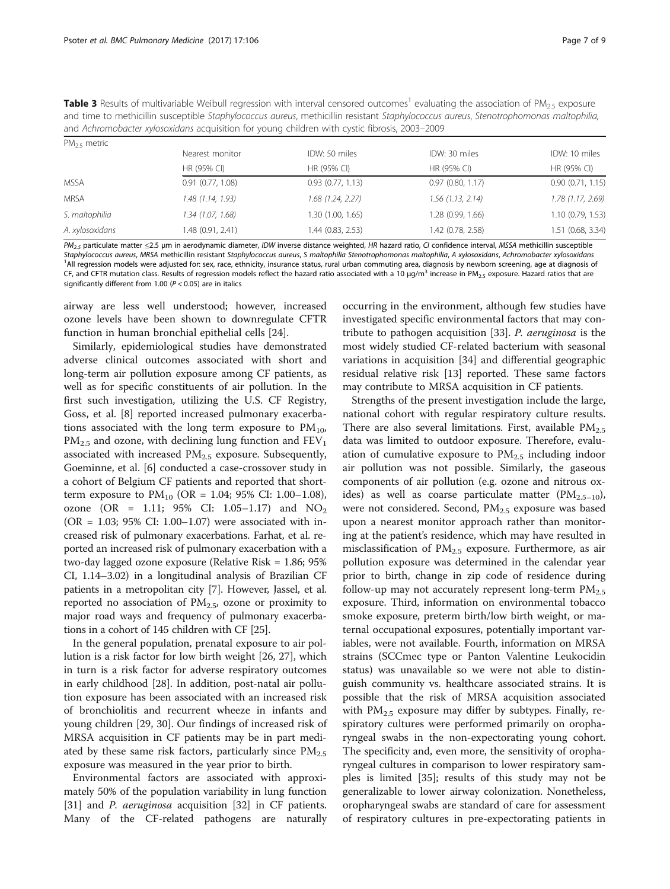<span id="page-6-0"></span>

| <b>Table 3</b> Results of multivariable Weibull regression with interval censored outcomes <sup>1</sup> evaluating the association of PM <sub>2.5</sub> exposure |
|------------------------------------------------------------------------------------------------------------------------------------------------------------------|
| and time to methicillin susceptible Staphylococcus aureus, methicillin resistant Staphylococcus aureus, Stenotrophomonas maltophilia,                            |
| and Achromobacter xylosoxidans acquisition for young children with cystic fibrosis, 2003–2009                                                                    |

| $PM_{2.5}$ metric |                       |                     |                     |                   |
|-------------------|-----------------------|---------------------|---------------------|-------------------|
|                   | Nearest monitor       | IDW: 50 miles       | IDW: 30 miles       | IDW: 10 miles     |
|                   | HR (95% CI)           | HR (95% CI)         | HR (95% CI)         | HR (95% CI)       |
| <b>MSSA</b>       | $0.91$ $(0.77, 1.08)$ | 0.93(0.77, 1.13)    | 0.97(0.80, 1.17)    | 0.90(0.71, 1.15)  |
| <b>MRSA</b>       | 1.48 (1.14, 1.93)     | $1.68$ (1.24, 2.27) | $1.56$ (1.13, 2.14) | 1.78 (1.17, 2.69) |
| S. maltophilia    | 1.34 (1.07, 1.68)     | 1.30 (1.00, 1.65)   | 1.28 (0.99, 1.66)   | 1.10(0.79, 1.53)  |
| A. xylosoxidans   | 1.48 (0.91, 2.41)     | 1.44 (0.83, 2.53)   | 1.42 (0.78, 2.58)   | 1.51 (0.68, 3.34) |

PM<sub>2.5</sub> particulate matter ≤2.5 µm in aerodynamic diameter, IDW inverse distance weighted, HR hazard ratio, CI confidence interval, MSSA methicillin susceptible Staphylococcus aureus, MRSA methicillin resistant Staphylococcus aureus, S maltophilia Stenotrophomonas maltophilia, A xylosoxidans, Achromobacter xylosoxidans <sup>1</sup>All regression models were adjusted for: sex, race, ethnicity, insurance status, rural urban commuting area, diagnosis by newborn screening, age at diagnosis of CF, and CFTR mutation class. Results of regression models reflect the hazard ratio associated with a 10  $\mu$ g/m<sup>3</sup> increase in PM<sub>2.5</sub> exposure. Hazard ratios that are significantly different from 1.00 ( $P < 0.05$ ) are in italics

airway are less well understood; however, increased ozone levels have been shown to downregulate CFTR function in human bronchial epithelial cells [[24\]](#page-8-0).

Similarly, epidemiological studies have demonstrated adverse clinical outcomes associated with short and long-term air pollution exposure among CF patients, as well as for specific constituents of air pollution. In the first such investigation, utilizing the U.S. CF Registry, Goss, et al. [\[8](#page-7-0)] reported increased pulmonary exacerbations associated with the long term exposure to  $PM_{10}$ ,  $PM_{2.5}$  and ozone, with declining lung function and  $FEV_1$ associated with increased  $PM_{2.5}$  exposure. Subsequently, Goeminne, et al. [[6\]](#page-7-0) conducted a case-crossover study in a cohort of Belgium CF patients and reported that shortterm exposure to  $PM_{10}$  (OR = 1.04; 95% CI: 1.00–1.08), ozone (OR = 1.11;  $95\%$  CI: 1.05–1.17) and NO<sub>2</sub> (OR = 1.03; 95% CI: 1.00–1.07) were associated with increased risk of pulmonary exacerbations. Farhat, et al. reported an increased risk of pulmonary exacerbation with a two-day lagged ozone exposure (Relative Risk = 1.86; 95% CI, 1.14–3.02) in a longitudinal analysis of Brazilian CF patients in a metropolitan city [\[7](#page-7-0)]. However, Jassel, et al. reported no association of  $PM_{2.5}$ , ozone or proximity to major road ways and frequency of pulmonary exacerbations in a cohort of 145 children with CF [[25](#page-8-0)].

In the general population, prenatal exposure to air pollution is a risk factor for low birth weight [\[26, 27\]](#page-8-0), which in turn is a risk factor for adverse respiratory outcomes in early childhood [\[28](#page-8-0)]. In addition, post-natal air pollution exposure has been associated with an increased risk of bronchiolitis and recurrent wheeze in infants and young children [\[29](#page-8-0), [30](#page-8-0)]. Our findings of increased risk of MRSA acquisition in CF patients may be in part mediated by these same risk factors, particularly since  $PM_{2.5}$ exposure was measured in the year prior to birth.

Environmental factors are associated with approximately 50% of the population variability in lung function [[31\]](#page-8-0) and *P. aeruginosa* acquisition [[32\]](#page-8-0) in CF patients. Many of the CF-related pathogens are naturally

occurring in the environment, although few studies have investigated specific environmental factors that may contribute to pathogen acquisition [\[33\]](#page-8-0). P. aeruginosa is the most widely studied CF-related bacterium with seasonal variations in acquisition [[34\]](#page-8-0) and differential geographic residual relative risk [[13\]](#page-7-0) reported. These same factors may contribute to MRSA acquisition in CF patients.

Strengths of the present investigation include the large, national cohort with regular respiratory culture results. There are also several limitations. First, available  $PM_{2.5}$ data was limited to outdoor exposure. Therefore, evaluation of cumulative exposure to  $PM_{2.5}$  including indoor air pollution was not possible. Similarly, the gaseous components of air pollution (e.g. ozone and nitrous oxides) as well as coarse particulate matter  $(PM_{2.5-10})$ , were not considered. Second,  $PM<sub>2.5</sub>$  exposure was based upon a nearest monitor approach rather than monitoring at the patient's residence, which may have resulted in misclassification of  $PM_{2.5}$  exposure. Furthermore, as air pollution exposure was determined in the calendar year prior to birth, change in zip code of residence during follow-up may not accurately represent long-term  $PM_{2.5}$ exposure. Third, information on environmental tobacco smoke exposure, preterm birth/low birth weight, or maternal occupational exposures, potentially important variables, were not available. Fourth, information on MRSA strains (SCCmec type or Panton Valentine Leukocidin status) was unavailable so we were not able to distinguish community vs. healthcare associated strains. It is possible that the risk of MRSA acquisition associated with  $PM_{2.5}$  exposure may differ by subtypes. Finally, respiratory cultures were performed primarily on oropharyngeal swabs in the non-expectorating young cohort. The specificity and, even more, the sensitivity of oropharyngeal cultures in comparison to lower respiratory samples is limited [[35\]](#page-8-0); results of this study may not be generalizable to lower airway colonization. Nonetheless, oropharyngeal swabs are standard of care for assessment of respiratory cultures in pre-expectorating patients in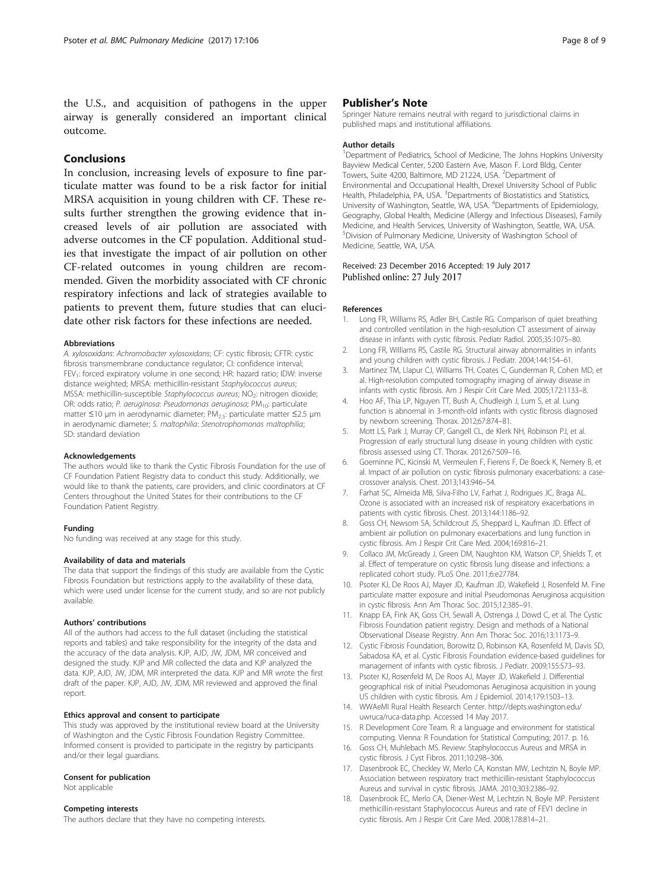<span id="page-7-0"></span>the U.S., and acquisition of pathogens in the upper airway is generally considered an important clinical outcome.

# Conclusions

In conclusion, increasing levels of exposure to fine particulate matter was found to be a risk factor for initial MRSA acquisition in young children with CF. These results further strengthen the growing evidence that increased levels of air pollution are associated with adverse outcomes in the CF population. Additional studies that investigate the impact of air pollution on other CF-related outcomes in young children are recommended. Given the morbidity associated with CF chronic respiratory infections and lack of strategies available to patients to prevent them, future studies that can elucidate other risk factors for these infections are needed.

#### Abbreviations

A. xylosoxidans: Achromobacter xylosoxidans; CF: cystic fibrosis; CFTR: cystic fibrosis transmembrane conductance regulator; CI: confidence interval; FEV<sub>1</sub>: forced expiratory volume in one second; HR: hazard ratio; IDW: inverse distance weighted; MRSA: methicillin-resistant Staphylococcus aureus; MSSA: methicillin-susceptible Staphylococcus aureus; NO<sub>2</sub>: nitrogen dioxide; OR: odds ratio; P. aeruginosa: Pseudomonas aeruginosa; PM<sub>10</sub>: particulate matter ≤10 μm in aerodynamic diameter; PM2.5: particulate matter ≤2.5 μm in aerodynamic diameter; S. maltophilia: Stenotrophomonas maltophilia; SD: standard deviation

#### Acknowledgements

The authors would like to thank the Cystic Fibrosis Foundation for the use of CF Foundation Patient Registry data to conduct this study. Additionally, we would like to thank the patients, care providers, and clinic coordinators at CF Centers throughout the United States for their contributions to the CF Foundation Patient Registry.

#### Funding

No funding was received at any stage for this study.

#### Availability of data and materials

The data that support the findings of this study are available from the Cystic Fibrosis Foundation but restrictions apply to the availability of these data, which were used under license for the current study, and so are not publicly available.

#### Authors' contributions

All of the authors had access to the full dataset (including the statistical reports and tables) and take responsibility for the integrity of the data and the accuracy of the data analysis. KJP, AJD, JW, JDM, MR conceived and designed the study. KJP and MR collected the data and KJP analyzed the data. KJP, AJD, JW, JDM, MR interpreted the data. KJP and MR wrote the first draft of the paper. KJP, AJD, JW, JDM, MR reviewed and approved the final report.

#### Ethics approval and consent to participate

This study was approved by the institutional review board at the University of Washington and the Cystic Fibrosis Foundation Registry Committee. Informed consent is provided to participate in the registry by participants and/or their legal guardians.

#### Consent for publication

Not applicable

# Competing interests

The authors declare that they have no competing interests.

### Publisher's Note

Springer Nature remains neutral with regard to jurisdictional claims in published maps and institutional affiliations.

#### Author details

<sup>1</sup>Department of Pediatrics, School of Medicine, The Johns Hopkins University Bayview Medical Center, 5200 Eastern Ave, Mason F. Lord Bldg, Center Towers, Suite 4200, Baltimore, MD 21224, USA. <sup>2</sup>Department of Environmental and Occupational Health, Drexel University School of Public Health, Philadelphia, PA, USA. <sup>3</sup>Departments of Biostatistics and Statistics University of Washington, Seattle, WA, USA. <sup>4</sup>Departments of Epidemiology Geography, Global Health, Medicine (Allergy and Infectious Diseases), Family Medicine, and Health Services, University of Washington, Seattle, WA, USA. 5 Division of Pulmonary Medicine, University of Washington School of Medicine, Seattle, WA, USA.

# Received: 23 December 2016 Accepted: 19 July 2017

#### References

- 1. Long FR, Williams RS, Adler BH, Castile RG. Comparison of quiet breathing and controlled ventilation in the high-resolution CT assessment of airway disease in infants with cystic fibrosis. Pediatr Radiol. 2005;35:1075–80.
- 2. Long FR, Williams RS, Castile RG. Structural airway abnormalities in infants and young children with cystic fibrosis. J Pediatr. 2004;144:154–61.
- 3. Martinez TM, Llapur CJ, Williams TH, Coates C, Gunderman R, Cohen MD, et al. High-resolution computed tomography imaging of airway disease in infants with cystic fibrosis. Am J Respir Crit Care Med. 2005;172:1133–8.
- 4. Hoo AF, Thia LP, Nguyen TT, Bush A, Chudleigh J, Lum S, et al. Lung function is abnormal in 3-month-old infants with cystic fibrosis diagnosed by newborn screening. Thorax. 2012;67:874–81.
- 5. Mott LS, Park J, Murray CP, Gangell CL, de Klerk NH, Robinson PJ, et al. Progression of early structural lung disease in young children with cystic fibrosis assessed using CT. Thorax. 2012;67:509–16.
- 6. Goeminne PC, Kicinski M, Vermeulen F, Fierens F, De Boeck K, Nemery B, et al. Impact of air pollution on cystic fibrosis pulmonary exacerbations: a casecrossover analysis. Chest. 2013;143:946–54.
- 7. Farhat SC, Almeida MB, Silva-Filho LV, Farhat J, Rodrigues JC, Braga AL. Ozone is associated with an increased risk of respiratory exacerbations in patients with cystic fibrosis. Chest. 2013;144:1186–92.
- 8. Goss CH, Newsom SA, Schildcrout JS, Sheppard L, Kaufman JD. Effect of ambient air pollution on pulmonary exacerbations and lung function in cystic fibrosis. Am J Respir Crit Care Med. 2004;169:816–21.
- 9. Collaco JM, McGready J, Green DM, Naughton KM, Watson CP, Shields T, et al. Effect of temperature on cystic fibrosis lung disease and infections: a replicated cohort study. PLoS One. 2011;6:e27784.
- 10. Psoter KJ, De Roos AJ, Mayer JD, Kaufman JD, Wakefield J, Rosenfeld M. Fine particulate matter exposure and initial Pseudomonas Aeruginosa acquisition in cystic fibrosis. Ann Am Thorac Soc. 2015;12:385–91.
- 11. Knapp EA, Fink AK, Goss CH, Sewall A, Ostrenga J, Dowd C, et al. The Cystic Fibrosis Foundation patient registry. Design and methods of a National Observational Disease Registry. Ann Am Thorac Soc. 2016;13:1173–9.
- 12. Cystic Fibrosis Foundation, Borowitz D, Robinson KA, Rosenfeld M, Davis SD, Sabadosa KA, et al. Cystic Fibrosis Foundation evidence-based guidelines for management of infants with cystic fibrosis. J Pediatr. 2009;155:S73–93.
- 13. Psoter KJ, Rosenfeld M, De Roos AJ, Mayer JD, Wakefield J. Differential geographical risk of initial Pseudomonas Aeruginosa acquisition in young US children with cystic fibrosis. Am J Epidemiol. 2014;179:1503–13.
- 14. WWAeMI Rural Health Research Center. [http://depts.washington.edu/](http://depts.washington.edu/uwruca/ruca-data.php) [uwruca/ruca-data.php](http://depts.washington.edu/uwruca/ruca-data.php). Accessed 14 May 2017.
- 15. R Development Core Team. R: a language and environment for statistical computing. Vienna: R Foundation for Statistical Computing; 2017. p. 16.
- 16. Goss CH, Muhlebach MS. Review: Staphylococcus Aureus and MRSA in cystic fibrosis. J Cyst Fibros. 2011;10:298–306.
- 17. Dasenbrook EC, Checkley W, Merlo CA, Konstan MW, Lechtzin N, Boyle MP. Association between respiratory tract methicillin-resistant Staphylococcus Aureus and survival in cystic fibrosis. JAMA. 2010;303:2386–92.
- 18. Dasenbrook EC, Merlo CA, Diener-West M, Lechtzin N, Boyle MP. Persistent methicillin-resistant Staphylococcus Aureus and rate of FEV1 decline in cystic fibrosis. Am J Respir Crit Care Med. 2008;178:814–21.